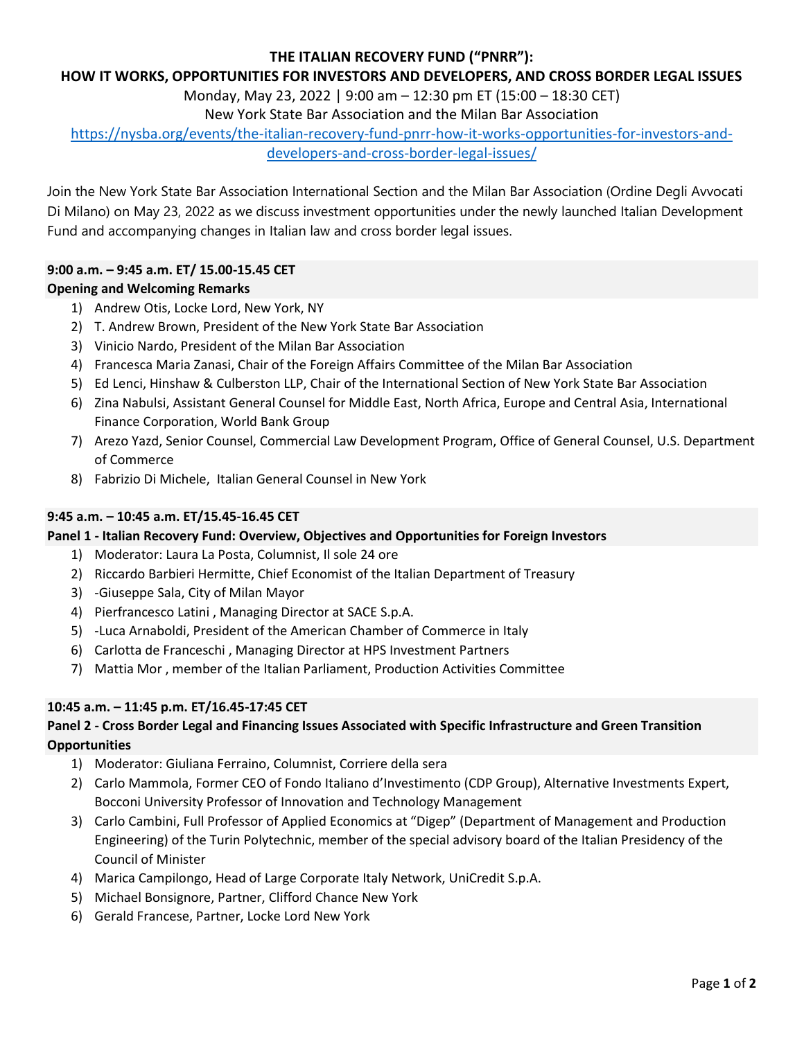# **THE ITALIAN RECOVERY FUND ("PNRR"):**

#### **HOW IT WORKS, OPPORTUNITIES FOR INVESTORS AND DEVELOPERS, AND CROSS BORDER LEGAL ISSUES**

Monday, May 23, 2022 | 9:00 am – 12:30 pm ET (15:00 – 18:30 CET)

New York State Bar Association and the Milan Bar Association

[https://nysba.org/events/the-italian-recovery-fund-pnrr-how-it-works-opportunities-for-investors-and](https://nysba.org/events/the-italian-recovery-fund-pnrr-how-it-works-opportunities-for-investors-and-developers-and-cross-border-legal-issues/)[developers-and-cross-border-legal-issues/](https://nysba.org/events/the-italian-recovery-fund-pnrr-how-it-works-opportunities-for-investors-and-developers-and-cross-border-legal-issues/)

Join the New York State Bar Association International Section and the Milan Bar Association (Ordine Degli Avvocati Di Milano) on May 23, 2022 as we discuss investment opportunities under the newly launched Italian Development Fund and accompanying changes in Italian law and cross border legal issues.

# **9:00 a.m. – 9:45 a.m. ET/ 15.00-15.45 CET**

# **Opening and Welcoming Remarks**

- 1) Andrew Otis, Locke Lord, New York, NY
- 2) T. Andrew Brown, President of the New York State Bar Association
- 3) Vinicio Nardo, President of the Milan Bar Association
- 4) Francesca Maria Zanasi, Chair of the Foreign Affairs Committee of the Milan Bar Association
- 5) Ed Lenci, Hinshaw & Culberston LLP, Chair of the International Section of New York State Bar Association
- 6) Zina Nabulsi, Assistant General Counsel for Middle East, North Africa, Europe and Central Asia, International Finance Corporation, World Bank Group
- 7) Arezo Yazd, Senior Counsel, Commercial Law Development Program, Office of General Counsel, U.S. Department of Commerce
- 8) Fabrizio Di Michele, Italian General Counsel in New York

## **9:45 a.m. – 10:45 a.m. ET/15.45-16.45 CET**

#### **Panel 1 - Italian Recovery Fund: Overview, Objectives and Opportunities for Foreign Investors**

- 1) Moderator: Laura La Posta, Columnist, Il sole 24 ore
- 2) Riccardo Barbieri Hermitte, Chief Economist of the Italian Department of Treasury
- 3) -Giuseppe Sala, City of Milan Mayor
- 4) Pierfrancesco Latini , Managing Director at SACE S.p.A.
- 5) -Luca Arnaboldi, President of the American Chamber of Commerce in Italy
- 6) Carlotta de Franceschi , Managing Director at HPS Investment Partners
- 7) Mattia Mor , member of the Italian Parliament, Production Activities Committee

#### **10:45 a.m. – 11:45 p.m. ET/16.45-17:45 CET**

# **Panel 2 - Cross Border Legal and Financing Issues Associated with Specific Infrastructure and Green Transition Opportunities**

- 1) Moderator: Giuliana Ferraino, Columnist, Corriere della sera
- 2) Carlo Mammola, Former CEO of Fondo Italiano d'Investimento (CDP Group), Alternative Investments Expert, Bocconi University Professor of Innovation and Technology Management
- 3) Carlo Cambini, Full Professor of Applied Economics at "Digep" (Department of Management and Production Engineering) of the Turin Polytechnic, member of the special advisory board of the Italian Presidency of the Council of Minister
- 4) Marica Campilongo, Head of Large Corporate Italy Network, UniCredit S.p.A.
- 5) Michael Bonsignore, Partner, Clifford Chance New York
- 6) Gerald Francese, Partner, Locke Lord New York